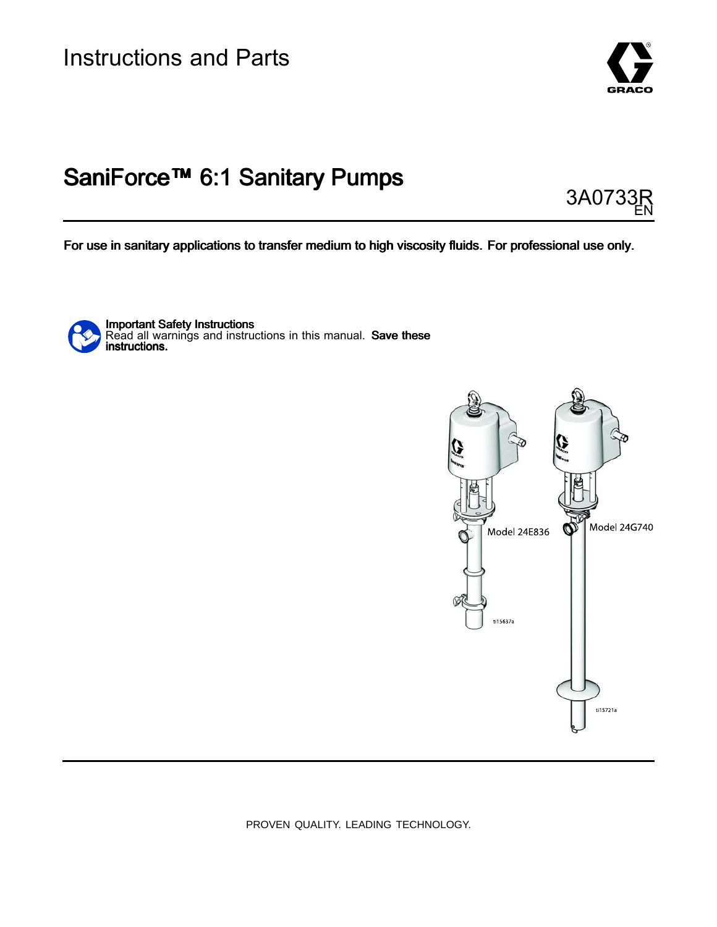

# SaniForce™ 6:1 Sanitary Pumps

3A0733 EN

For use in sanitary applications to transfer medium to high viscosity fluids. For professional use only.

Important Safety Instructions Read all warnings and instructions in this manual. **Save these**<br>instructions instructions.



PROVEN QUALITY. LEADING TECHNOLOGY.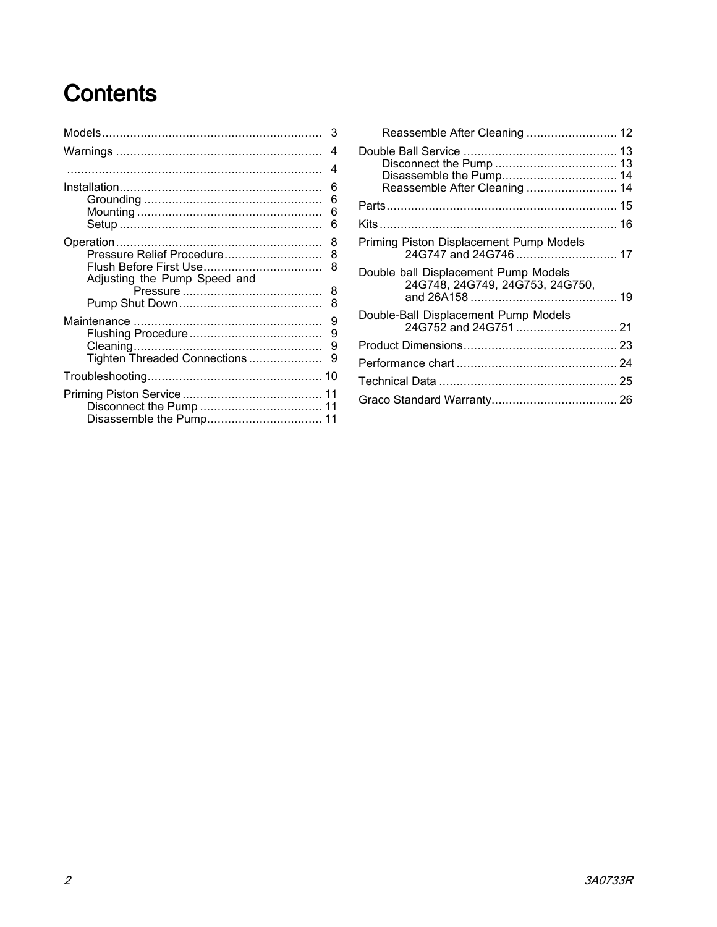# Contents

|                                                           | 3                     |
|-----------------------------------------------------------|-----------------------|
|                                                           | $\overline{4}$        |
|                                                           | $\overline{4}$        |
|                                                           | 6<br>6<br>6<br>6      |
| Pressure Relief Procedure<br>Adjusting the Pump Speed and | 8<br>8<br>8<br>8<br>8 |
| Tighten Threaded Connections                              | 9<br>9<br>9<br>9      |
|                                                           |                       |
|                                                           |                       |

| Reassemble After Cleaning  14                                           |  |
|-------------------------------------------------------------------------|--|
|                                                                         |  |
|                                                                         |  |
| Priming Piston Displacement Pump Models                                 |  |
| Double ball Displacement Pump Models<br>24G748, 24G749, 24G753, 24G750, |  |
| Double-Ball Displacement Pump Models                                    |  |
|                                                                         |  |
|                                                                         |  |
|                                                                         |  |
|                                                                         |  |
|                                                                         |  |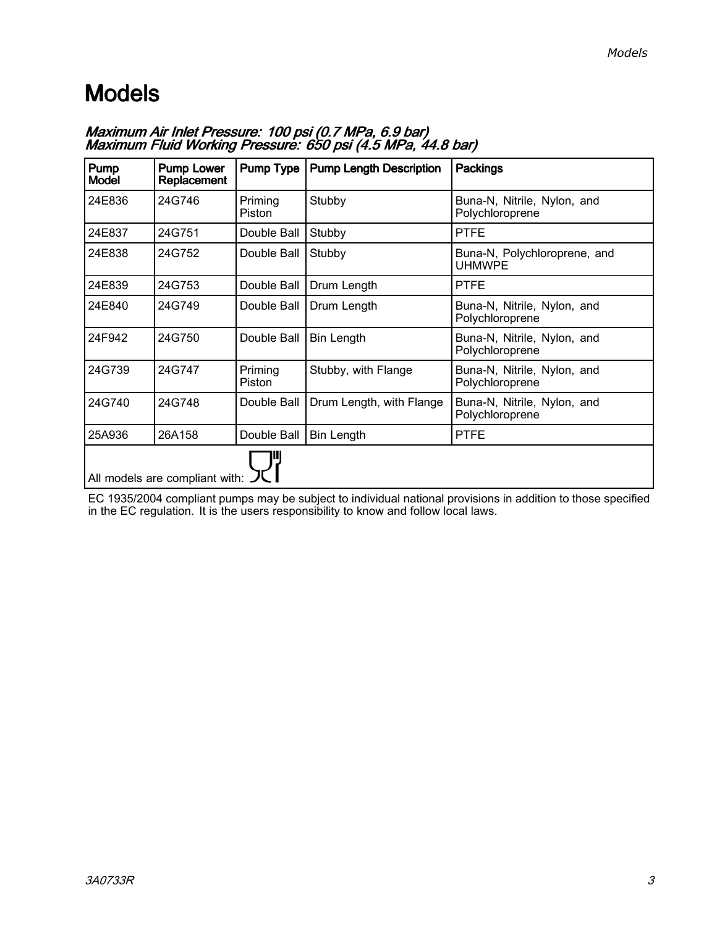# <span id="page-2-0"></span>Models

| Pump<br><b>Model</b> | <b>Pump Lower</b><br>Replacement | <b>Pump Type</b>  | <b>Pump Length Description</b> | <b>Packings</b>                                |
|----------------------|----------------------------------|-------------------|--------------------------------|------------------------------------------------|
| 24E836               | 24G746                           | Priming<br>Piston | Stubby                         | Buna-N, Nitrile, Nylon, and<br>Polychloroprene |
| 24E837               | 24G751                           | Double Ball       | Stubby                         | <b>PTFE</b>                                    |
| 24E838               | 24G752                           | Double Ball       | Stubby                         | Buna-N, Polychloroprene, and<br><b>UHMWPE</b>  |
| 24E839               | 24G753                           | Double Ball       | Drum Length                    | <b>PTFE</b>                                    |
| 24E840               | 24G749                           | Double Ball       | Drum Length                    | Buna-N, Nitrile, Nylon, and<br>Polychloroprene |
| 24F942               | 24G750                           | Double Ball       | <b>Bin Length</b>              | Buna-N, Nitrile, Nylon, and<br>Polychloroprene |
| 24G739               | 24G747                           | Priming<br>Piston | Stubby, with Flange            | Buna-N, Nitrile, Nylon, and<br>Polychloroprene |
| 24G740               | 24G748                           | Double Ball       | Drum Length, with Flange       | Buna-N, Nitrile, Nylon, and<br>Polychloroprene |
| 25A936               | 26A158                           | Double Ball       | <b>Bin Length</b>              | <b>PTFE</b>                                    |
|                      | All models are compliant with:   |                   |                                |                                                |

Maximum Air Inlet Pressure: 100 psi (0.7 MPa, 6.9 bar) Maximum Fluid Working Pressure: 650 psi (4.5 MPa, 44.8 bar)

EC 1935/2004 compliant pumps may be subject to individual national provisions in addition to those specified<br>in the EC requistion, It is the users responsibility to know and follow local laws in the EC regulation. It is the users responsibility to know and follow local laws.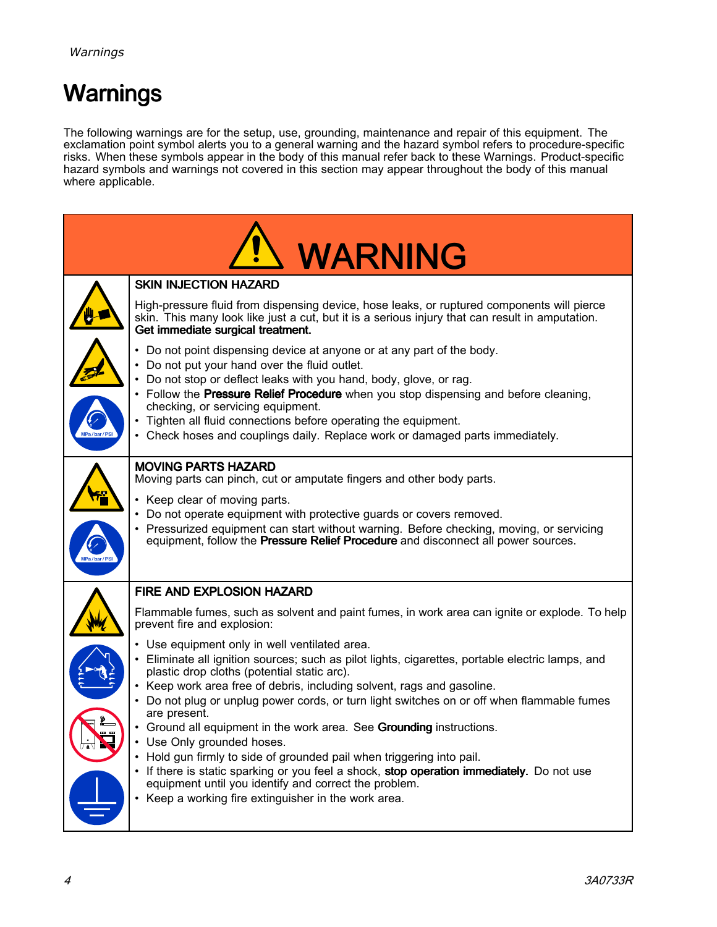# <span id="page-3-0"></span>Warnings

The following warnings are for the setup, use, grounding, maintenance and repair of this equipment. The<br>exclamation point symbol alerts you to a general warning and the bazard symbol refers to procedure spec exclamation point symbol alerts you to a general warning and the hazard symbol refers to procedure-specific<br>risks. When these symbols annear in the body of this manual refer back to these Warnings. Product specific risks. When these symbols appear in the body of this manual refer back to these Warnings. Product-specific<br>hazard symbols and warnings not covered in this section may appear throughout the body of this manual. hazard symbols and warnings not covered in this section may appear throughout the body of this manual<br>where applicable where applicable.

|             | <b>WARNING</b>                                                                                                                                                                                                                                                                                                                                                                                                                                                               |
|-------------|------------------------------------------------------------------------------------------------------------------------------------------------------------------------------------------------------------------------------------------------------------------------------------------------------------------------------------------------------------------------------------------------------------------------------------------------------------------------------|
|             | <b>SKIN INJECTION HAZARD</b>                                                                                                                                                                                                                                                                                                                                                                                                                                                 |
|             | High-pressure fluid from dispensing device, hose leaks, or ruptured components will pierce<br>skin. This many look like just a cut, but it is a serious injury that can result in amputation.<br>Get immediate surgical treatment.                                                                                                                                                                                                                                           |
| MPa/bar/PSI | • Do not point dispensing device at anyone or at any part of the body.<br>• Do not put your hand over the fluid outlet.<br>Do not stop or deflect leaks with you hand, body, glove, or rag.<br>• Follow the Pressure Relief Procedure when you stop dispensing and before cleaning,<br>checking, or servicing equipment.<br>• Tighten all fluid connections before operating the equipment.<br>• Check hoses and couplings daily. Replace work or damaged parts immediately. |
| MPa/bar/PSI | <b>MOVING PARTS HAZARD</b><br>Moving parts can pinch, cut or amputate fingers and other body parts.<br>• Keep clear of moving parts.<br>• Do not operate equipment with protective guards or covers removed.<br>• Pressurized equipment can start without warning. Before checking, moving, or servicing<br>equipment, follow the Pressure Relief Procedure and disconnect all power sources.                                                                                |
|             | FIRE AND EXPLOSION HAZARD                                                                                                                                                                                                                                                                                                                                                                                                                                                    |
|             | Flammable fumes, such as solvent and paint fumes, in work area can ignite or explode. To help<br>prevent fire and explosion:                                                                                                                                                                                                                                                                                                                                                 |
|             | • Use equipment only in well ventilated area.<br>• Eliminate all ignition sources; such as pilot lights, cigarettes, portable electric lamps, and<br>plastic drop cloths (potential static arc).<br>• Keep work area free of debris, including solvent, rags and gasoline.<br>• Do not plug or unplug power cords, or turn light switches on or off when flammable fumes<br>are present.                                                                                     |
|             | Ground all equipment in the work area. See Grounding instructions.<br>$\bullet$<br>• Use Only grounded hoses.<br>• Hold gun firmly to side of grounded pail when triggering into pail.<br>• If there is static sparking or you feel a shock, stop operation immediately. Do not use                                                                                                                                                                                          |
|             | equipment until you identify and correct the problem.<br>• Keep a working fire extinguisher in the work area.                                                                                                                                                                                                                                                                                                                                                                |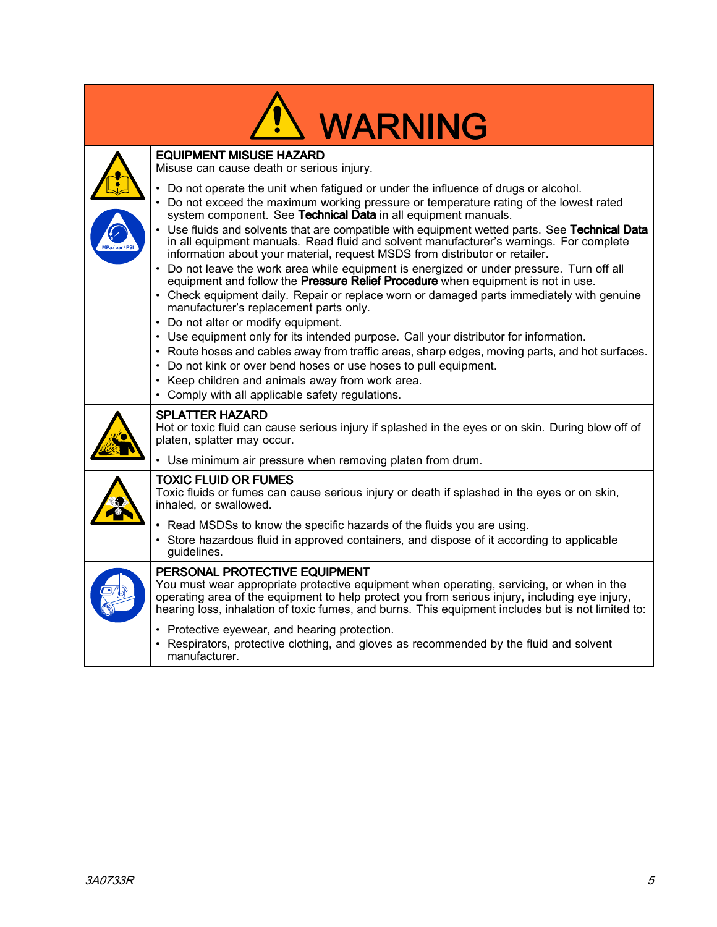| <b>WARNING</b>                                                                                                                                                                                                                                                                                                                                                                                                                                                                                                                                                                                                                                                                                                                                                                                                                                                                                                                                                                                                                                                                                                                                                                                                                                                         |
|------------------------------------------------------------------------------------------------------------------------------------------------------------------------------------------------------------------------------------------------------------------------------------------------------------------------------------------------------------------------------------------------------------------------------------------------------------------------------------------------------------------------------------------------------------------------------------------------------------------------------------------------------------------------------------------------------------------------------------------------------------------------------------------------------------------------------------------------------------------------------------------------------------------------------------------------------------------------------------------------------------------------------------------------------------------------------------------------------------------------------------------------------------------------------------------------------------------------------------------------------------------------|
| <b>EQUIPMENT MISUSE HAZARD</b><br>Misuse can cause death or serious injury.                                                                                                                                                                                                                                                                                                                                                                                                                                                                                                                                                                                                                                                                                                                                                                                                                                                                                                                                                                                                                                                                                                                                                                                            |
| • Do not operate the unit when fatigued or under the influence of drugs or alcohol.<br>• Do not exceed the maximum working pressure or temperature rating of the lowest rated<br>system component. See Technical Data in all equipment manuals.<br>• Use fluids and solvents that are compatible with equipment wetted parts. See Technical Data<br>in all equipment manuals. Read fluid and solvent manufacturer's warnings. For complete<br>information about your material, request MSDS from distributor or retailer.<br>• Do not leave the work area while equipment is energized or under pressure. Turn off all<br>equipment and follow the <b>Pressure Relief Procedure</b> when equipment is not in use.<br>• Check equipment daily. Repair or replace worn or damaged parts immediately with genuine<br>manufacturer's replacement parts only.<br>• Do not alter or modify equipment.<br>• Use equipment only for its intended purpose. Call your distributor for information.<br>• Route hoses and cables away from traffic areas, sharp edges, moving parts, and hot surfaces.<br>• Do not kink or over bend hoses or use hoses to pull equipment.<br>• Keep children and animals away from work area.<br>• Comply with all applicable safety regulations. |
| <b>SPLATTER HAZARD</b><br>Hot or toxic fluid can cause serious injury if splashed in the eyes or on skin. During blow off of<br>platen, splatter may occur.                                                                                                                                                                                                                                                                                                                                                                                                                                                                                                                                                                                                                                                                                                                                                                                                                                                                                                                                                                                                                                                                                                            |
| • Use minimum air pressure when removing platen from drum.                                                                                                                                                                                                                                                                                                                                                                                                                                                                                                                                                                                                                                                                                                                                                                                                                                                                                                                                                                                                                                                                                                                                                                                                             |
| <b>TOXIC FLUID OR FUMES</b><br>Toxic fluids or fumes can cause serious injury or death if splashed in the eyes or on skin,<br>inhaled, or swallowed.                                                                                                                                                                                                                                                                                                                                                                                                                                                                                                                                                                                                                                                                                                                                                                                                                                                                                                                                                                                                                                                                                                                   |
| • Read MSDSs to know the specific hazards of the fluids you are using.<br>• Store hazardous fluid in approved containers, and dispose of it according to applicable<br>guidelines.                                                                                                                                                                                                                                                                                                                                                                                                                                                                                                                                                                                                                                                                                                                                                                                                                                                                                                                                                                                                                                                                                     |
| PERSONAL PROTECTIVE EQUIPMENT<br>You must wear appropriate protective equipment when operating, servicing, or when in the<br>operating area of the equipment to help protect you from serious injury, including eye injury,<br>hearing loss, inhalation of toxic fumes, and burns. This equipment includes but is not limited to:                                                                                                                                                                                                                                                                                                                                                                                                                                                                                                                                                                                                                                                                                                                                                                                                                                                                                                                                      |
| • Protective eyewear, and hearing protection.<br>• Respirators, protective clothing, and gloves as recommended by the fluid and solvent<br>manufacturer.                                                                                                                                                                                                                                                                                                                                                                                                                                                                                                                                                                                                                                                                                                                                                                                                                                                                                                                                                                                                                                                                                                               |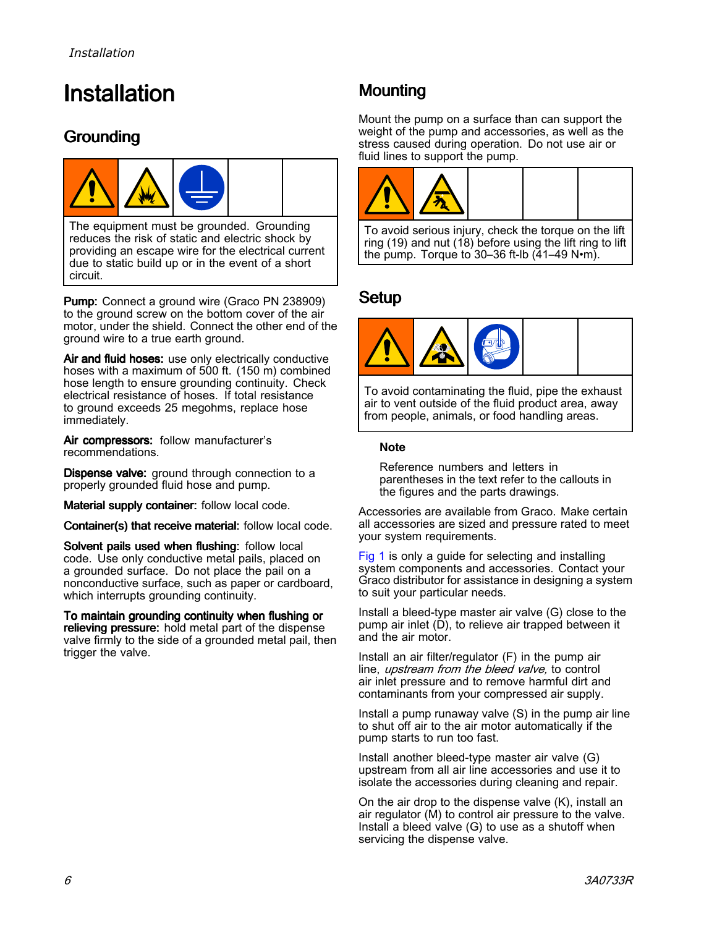# <span id="page-5-0"></span>**Installation**

## Grounding



The equipment must be grounded. Grounding reduces the risk of static and electric shock by providing an escape wire for the electrical current due to static build up or in the event of <sup>a</sup> short circuit.

Pump: Connect <sup>a</sup> ground wire (Graco PN 238909) to the ground screw on the bottom cover of the air motor, under the shield. Connect the other end of the ground wire to <sup>a</sup> true earth ground.

Air and fluid hoses: use only electrically conductive hoses with <sup>a</sup> maximum of <sup>500</sup> ft. (150 m) combined hose length to ensure grounding continuity. Check electrical resistance of hoses. If total resistance to ground exceeds <sup>25</sup> megohms, replace hose immediately.

Air compressors: follow manufacturer's recommendations.

Dispense valve: ground through connection to a properly grounded fluid hose and pump.

Material supply container: follow local code.

Container(s) that receive material: follow local code.

Solvent pails used when flushing: follow local code. Use only conductive metal pails, placed on <sup>a</sup> grounded surface. Do not place the pail on <sup>a</sup> nonconductive surface, such as paper or cardboard, which interrupts grounding continuity.

To maintain grounding continuity when flushing or relieving pressure: hold metal part of the dispense valve firmly to the side of <sup>a</sup> grounded metal pail, then trigger the valve.

# **Mounting**

Mount the pump on <sup>a</sup> surface than can support the weight of the pump and accessories, as well as the stress caused during operation. Do not use air or fluid lines to support the pump.



To avoid serious injury, check the torque on the lift ring (19) and nut (18) before using the lift ring to lift the pump. Torque to 30–36 ft-lb (41–49 N•m).

### Setup



To avoid contaminating the fluid, pipe the exhaust air to vent outside of the fluid product area, away from people, animals, or food handling areas.

#### **Note**

Reference numbers and letters in parentheses in the text refer to the callouts in the figures and the parts drawings.

Accessories are available from Graco. Make certain all accessories are sized and pressure rated to meet your system requirements.

[Fig](#page-6-0) <sup>1</sup> is only <sup>a</sup> guide for selecting and installing system components and accessories. Contact your Graco distributor for assistance in designing <sup>a</sup> system to suit your particular needs.

Install <sup>a</sup> bleed-type master air valve (G) close to the pump air inlet (D), to relieve air trapped between it and the air motor.

Install an air filter/regulator (F) in the pump air line, *upstream from the bleed valve*, to control air inlet pressure and to remove harmful dirt and contaminants from your compressed air supply.

Install <sup>a</sup> pump runaway valve (S) in the pump air line to shut off air to the air motor automatically if the pump starts to run too fast.

Install another bleed-type master air valve (G) upstream from all air line accessories and use it to isolate the accessories during cleaning and repair.

On the air drop to the dispense valve (K), install an air regulator (M) to control air pressure to the valve. Install <sup>a</sup> bleed valve (G) to use as <sup>a</sup> shutoff when servicing the dispense valve.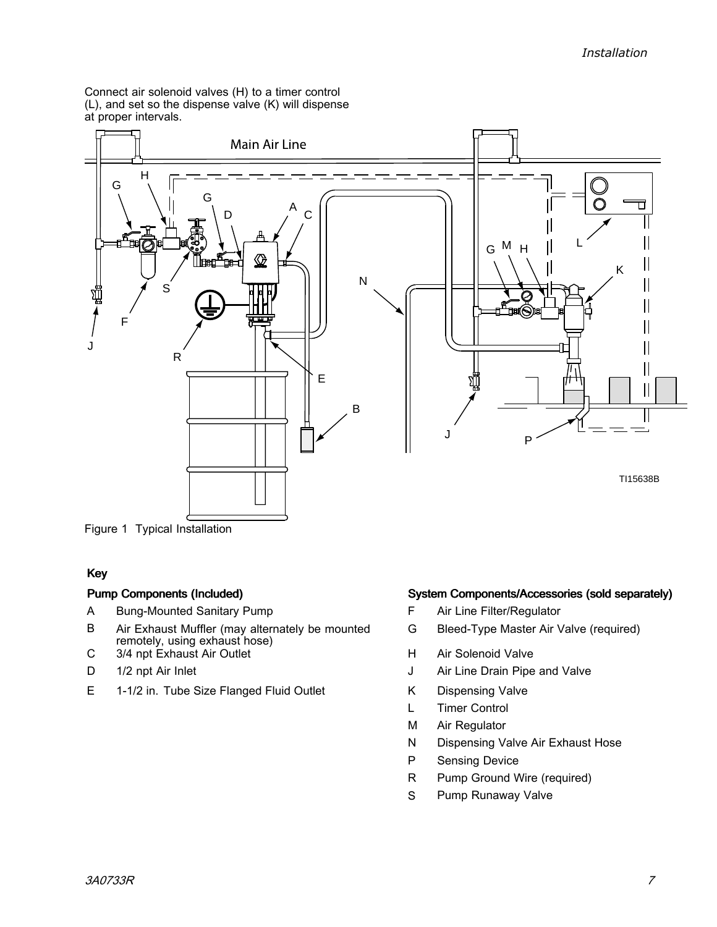<span id="page-6-0"></span>Connect air solenoid valves (H) to <sup>a</sup> timer control (L), and set so the dispense valve (K) will dispense at proper intervals.



Figure <sup>1</sup> Typical Installation

#### Key

- 
- A Bung-Mounted Sanitary Pump<br>
B Air Exhaust Muffler (may alternately be mounted G Bleed-Type Master Air \ Air Exhaust Muffler (may alternately be mounted remotely, using exhaust hose)
- C 3/4 npt Exhaust Air Outlet (C 3/4 npt Exhaust Air Outlet (C 3/4 npt Exhaust Air Outlet (C 3/4 npt Air Cultum Air Solenoid Valve
- 
- D 1/2 npt Air Inlet J Air Line Drain Pipe and Valve<br>E 1-1/2 in. Tube Size Flanged Fluid Outlet K Dispensing Valve 1-1/2 in. Tube Size Flanged Fluid Outlet K<br>L

#### Pump Components (Included) (Included) (Included System Components/Accessories (sold separately)

- 
- Bleed-Type Master Air Valve (required)
- 
- 
- 
- L Timer Control<br>M Air Regulator
- M Air Regulator<br>N Dispensing Va
- N Dispensing Valve Air Exhaust Hose<br>P Sensing Device
- P Sensing Device<br>R Pump Ground V
- R Pump Ground Wire (required)<br>S Pump Runaway Valve
- Pump Runaway Valve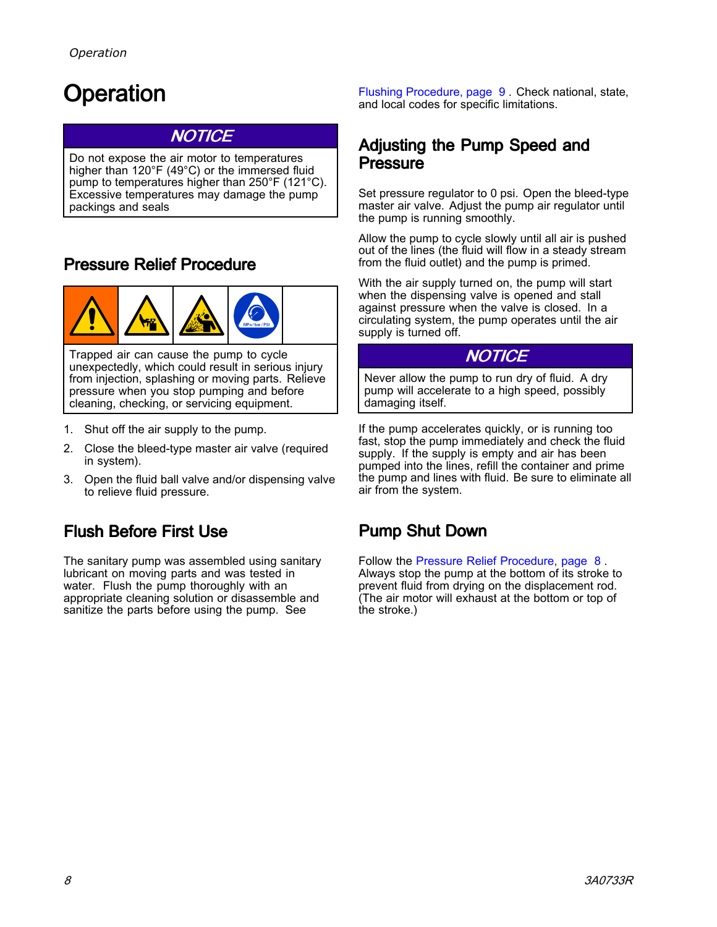# <span id="page-7-0"></span>Operation

### **NOTICE**

Do not expose the air motor to temperatures higher than 120°F (49°C) or the immersed fluid pump to temperatures higher than 250°F (121°C). Excessive temperatures may damage the pump packings and seals

## Pressure Relief Procedure



Trapped air can cause the pump to cycle unexpectedly, which could result in serious injury from injection, splashing or moving parts. Relieve pressure when you stop pumping and before cleaning, checking, or servicing equipment.

- 1. Shut off the air supply to the pump.
- 2. Close the bleed-type master air valve (required in system).
- 3. Open the fluid ball valve and/or dispensing valve to relieve fluid pressure.

## Flush Before First Use

The sanitary pump was assembled using sanitary lubricant on moving parts and was tested in water. Flush the pump thoroughly with an appropriate cleaning solution or disassemble and sanitize the parts before using the pump. See

Flushing [Procedure,](#page-8-0) page [9](#page-8-0) . Check national, state, and local codes for specific limitations.

#### Adjusting the Pump Speed and Pressure

Set pressure regulator to <sup>0</sup> psi. Open the bleed-type master air valve. Adjust the pump air regulator until the pump is running smoothly.

Allow the pump to cycle slowly until all air is pushed out of the lines (the fluid will flow in <sup>a</sup> steady stream from the fluid outlet) and the pump is primed.

With the air supply turned on, the pump will start when the dispensing valve is opened and stall against pressure when the valve is closed. In <sup>a</sup> circulating system, the pump operates until the air supply is turned off.

### NOTICE

Never allow the pump to run dry of fluid. <sup>A</sup> dry pump will accelerate to <sup>a</sup> high speed, possibly damaging itself.

If the pump accelerates quickly, or is running too fast, stop the pump immediately and check the fluid supply. If the supply is empty and air has been pumped into the lines, refill the container and prime the pump and lines with fluid. Be sure to eliminate all air from the system.

## Pump Shut Down

Follow the Pressure Relief Procedure, page <sup>8</sup> . Always stop the pump at the bottom of its stroke to prevent fluid from drying on the displacement rod. (The air motor will exhaust at the bottom or top of the stroke.)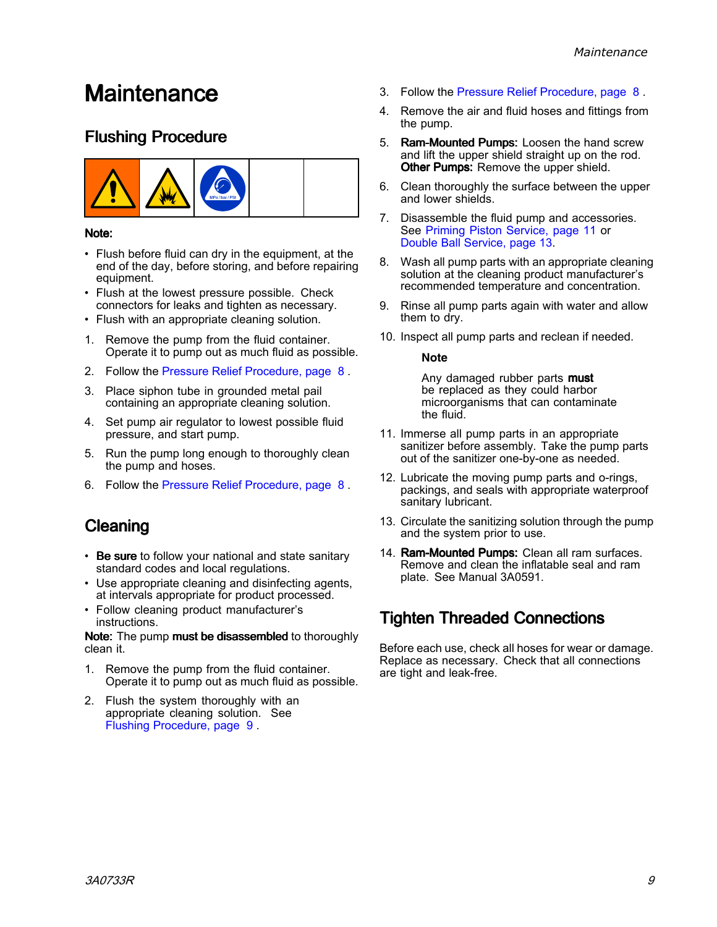# <span id="page-8-0"></span>**Maintenance**

### Flushing Procedure



#### Note:

- Flush before fluid can dry in the equipment, at the end of the day, before storing, and before repairing equipment.
- Flush at the lowest pressure possible. Check connectors for leaks and tighten as necessary.
- Flush with an appropriate cleaning solution.
- 1. Remove the pump from the fluid container. Operate it to pump out as much fluid as possible.
- 2. Follow the Pressure Relief [Procedure,](#page-7-0) page [8](#page-7-0) .
- 3. Place siphon tube in grounded metal pail containing an appropriate cleaning solution.
- 4. Set pump air regulator to lowest possible fluid pressure, and start pump.
- 5. Run the pump long enough to thoroughly clean the pump and hoses.
- 6. Follow the Pressure Relief [Procedure,](#page-7-0) page [8](#page-7-0) .

# Cleaning

- Be sure to follow your national and state sanitary<br>standard codes and local requisions standard codes and local regulations.
- Use appropriate cleaning and disinfecting agents, at intervals appropriate for product processed.
- Follow cleaning product manufacturer's **instructions**

Note: The pump must be disassembled to thoroughly clean it.

- 1. Remove the pump from the fluid container. Operate it to pump out as much fluid as possible.
- 2. Flush the system thoroughly with an appropriate cleaning solution. See Flushing Procedure, page <sup>9</sup> .
- 3. Follow the Pressure Relief [Procedure,](#page-7-0) page [8](#page-7-0) .
- 4. Remove the air and fluid hoses and fittings from the pump.
- 5. Ram-Mounted Pumps: Loosen the hand screw and lift the upper shield straight up on the rod. Other Pumps: Remove the upper shield.
- 6. Clean thoroughly the surface between the upper and lower shields.
- 7. Disassemble the fluid pump and accessories. See Priming Piston [Service,](#page-10-0) page [11](#page-10-0) or Double Ball [Service,](#page-12-0) page [13](#page-12-0).
- 8. Wash all pump parts with an appropriate cleaning solution at the cleaning product manufacturer's recommended temperature and concentration.
- 9. Rinse all pump parts again with water and allow them to dry.
- 10. Inspect all pump parts and reclean if needed.

#### **Note**

Any damaged rubber parts must be replaced as they could harbor microorganisms that can contaminate the fluid.

- 11. Immerse all pump parts in an appropriate sanitizer before assembly. Take the pump parts out of the sanitizer one-by-one as needed.
- 12. Lubricate the moving pump parts and o-rings, packings, and seals with appropriate waterproof sanitary lubricant.
- 13. Circulate the sanitizing solution through the pump and the system prior to use.
- 14. Ram-Mounted Pumps: Clean all ram surfaces. Remove and clean the inflatable seal and ram plate. See Manual 3A0591.

## **Tighten Threaded Connections**

Before each use, check all hoses for wear or damage. Replace as necessary. Check that all connections are tight and leak-free.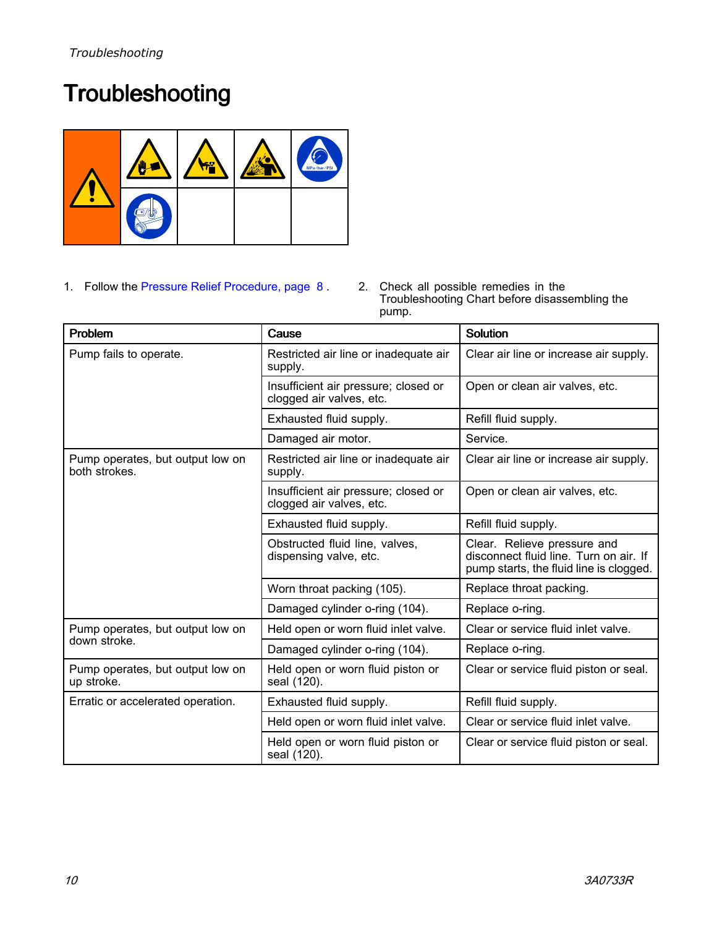# <span id="page-9-0"></span>**Troubleshooting**



1. Follow the Pressure Relief [Procedure,](#page-7-0) page [8](#page-7-0) . 2. Check all possible remedies in the Troubleshooting Chart before disassembling the pump.

| Problem                                           | Cause                                                            | <b>Solution</b>                                                                                                  |
|---------------------------------------------------|------------------------------------------------------------------|------------------------------------------------------------------------------------------------------------------|
| Pump fails to operate.                            | Restricted air line or inadequate air<br>supply.                 | Clear air line or increase air supply.                                                                           |
|                                                   | Insufficient air pressure; closed or<br>clogged air valves, etc. | Open or clean air valves, etc.                                                                                   |
|                                                   | Exhausted fluid supply.                                          | Refill fluid supply.                                                                                             |
|                                                   | Damaged air motor.                                               | Service.                                                                                                         |
| Pump operates, but output low on<br>both strokes. | Restricted air line or inadequate air<br>supply.                 | Clear air line or increase air supply.                                                                           |
|                                                   | Insufficient air pressure; closed or<br>clogged air valves, etc. | Open or clean air valves, etc.                                                                                   |
|                                                   | Exhausted fluid supply.                                          | Refill fluid supply.                                                                                             |
|                                                   | Obstructed fluid line, valves,<br>dispensing valve, etc.         | Clear. Relieve pressure and<br>disconnect fluid line. Turn on air. If<br>pump starts, the fluid line is clogged. |
|                                                   | Worn throat packing (105).                                       | Replace throat packing.                                                                                          |
|                                                   | Damaged cylinder o-ring (104).                                   | Replace o-ring.                                                                                                  |
| Pump operates, but output low on                  | Held open or worn fluid inlet valve.                             | Clear or service fluid inlet valve.                                                                              |
| down stroke.                                      | Damaged cylinder o-ring (104).                                   | Replace o-ring.                                                                                                  |
| Pump operates, but output low on<br>up stroke.    | Held open or worn fluid piston or<br>seal (120).                 | Clear or service fluid piston or seal.                                                                           |
| Erratic or accelerated operation.                 | Exhausted fluid supply.                                          | Refill fluid supply.                                                                                             |
|                                                   | Held open or worn fluid inlet valve.                             | Clear or service fluid inlet valve.                                                                              |
|                                                   | Held open or worn fluid piston or<br>seal (120).                 | Clear or service fluid piston or seal.                                                                           |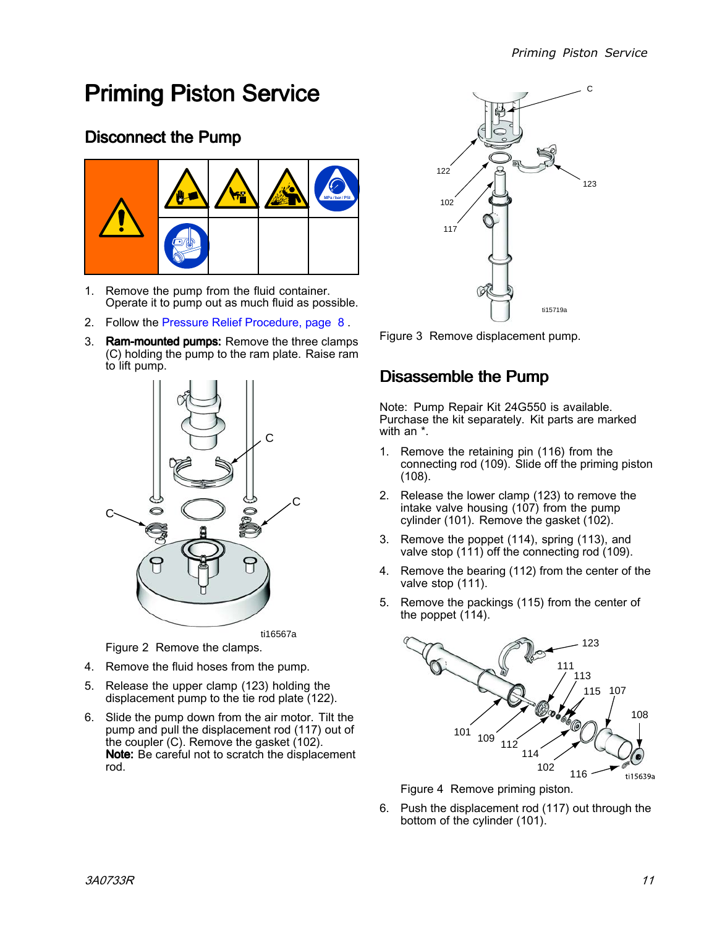# <span id="page-10-0"></span>**Priming Piston Service**

# Disconnect the Pump



- 1. Remove the pump from the fluid container. Operate it to pump out as much fluid as possible.
- 2. Follow the Pressure Relief [Procedure,](#page-7-0) page [8](#page-7-0) .
- 3. Ram-mounted pumps: Remove the three clamps (C) holding the pump to the ram plate. Raise ram to lift pump.



Figure <sup>2</sup> Remove the clamps.

- 4. Remove the fluid hoses from the pump.
- 5. Release the upper clamp (123) holding the displacement pump to the tie rod plate (122).
- 6. Slide the pump down from the air motor. Tilt the pump and pull the displacement rod (117) out of the coupler (C). Remove the gasket (102). Note: Be careful not to scratch the displacement rod.



Figure <sup>3</sup> Remove displacement pump.

### Disassemble the Pump

Note: Pump Repair Kit 24G550 is available. Purchase the kit separately. Kit parts are marked with an \*.

- 1. Remove the retaining pin (116) from the connecting rod (109). Slide off the priming piston (108).
- 2. Release the lower clamp (123) to remove the intake valve housing (107) from the pump cylinder (101). Remove the gasket (102).
- 3. Remove the poppet (114), spring (113), and valve stop (111) off the connecting rod (109).
- 4. Remove the bearing (112) from the center of the valve stop (111).
- 5. Remove the packings (115) from the center of the poppet (114).



Figure <sup>4</sup> Remove priming piston.

6. Push the displacement rod (117) out through the bottom of the cylinder (101).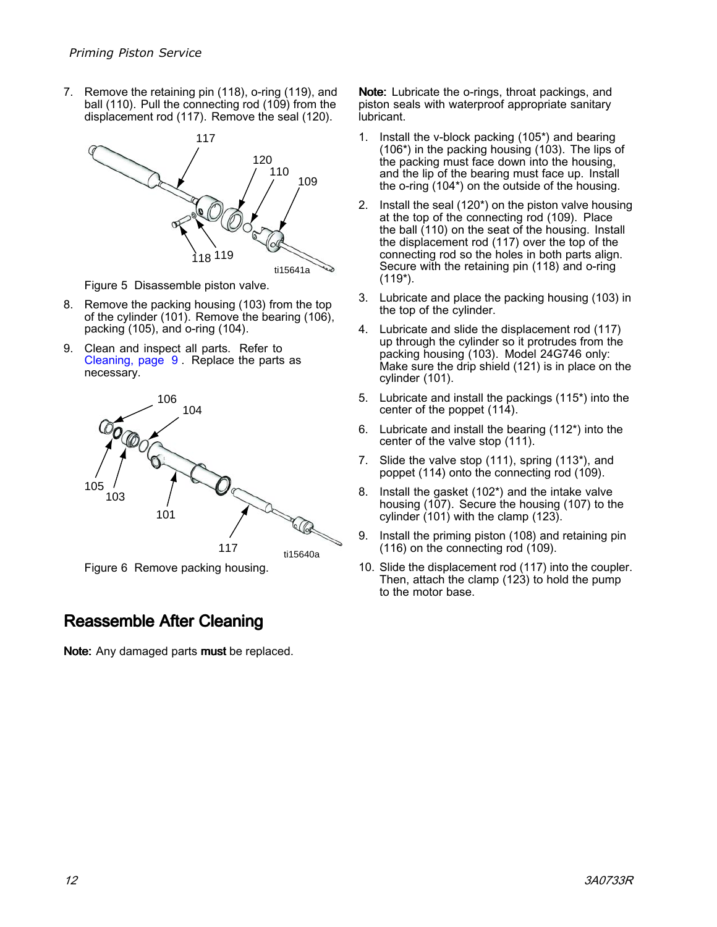<span id="page-11-0"></span>7. Remove the retaining pin (118), o-ring (119), and ball (110). Pull the connecting rod (109) from the displacement rod (117). Remove the seal (120).



Figure <sup>5</sup> Disassemble piston valve.

- 8. Remove the packing housing (103) from the top of the cylinder (101). Remove the bearing (106), packing (105), and o-ring (104).
- 9. Clean and inspect all parts. Refer to [Cleaning,](#page-8-0) page [9](#page-8-0) . Replace the parts as necessary.



Figure <sup>6</sup> Remove packing housing.

### Reassemble After Cleaning

Note: Any damaged parts must be replaced.

Note: Lubricate the o-rings, throat packings, and piston seals with waterproof appropriate sanitary lubricant.

- 1. Install the v-block packing (105\*) and bearing (106\*) in the packing housing (103). The lips of the packing must face down into the housing, and the lip of the bearing must face up. Install the o-ring (104\*) on the outside of the housing.
- 2. Install the seal (120\*) on the piston valve housing at the top of the connecting rod (109). Place the ball (110) on the seat of the housing. Install the displacement rod (117) over the top of the connecting rod so the holes in both parts align. Secure with the retaining pin (118) and o-ring (119\*).
- 3. Lubricate and place the packing housing (103) in the top of the cylinder.
- 4. Lubricate and slide the displacement rod (117) up through the cylinder so it protrudes from the packing housing (103). Model 24G746 only: Make sure the drip shield (121) is in place on the cylinder (101).
- 5. Lubricate and install the packings (115\*) into the center of the poppet (114).
- 6. Lubricate and install the bearing (112\*) into the center of the valve stop (111).
- 7. Slide the valve stop (111), spring (113\*), and poppet (114) onto the connecting rod (109).
- 8. Install the gasket (102\*) and the intake valve housing (107). Secure the housing (107) to the cylinder (101) with the clamp (123).
- 9. Install the priming piston (108) and retaining pin (116) on the connecting rod (109).
- 10. Slide the displacement rod (117) into the coupler. Then, attach the clamp (123) to hold the pump to the motor base.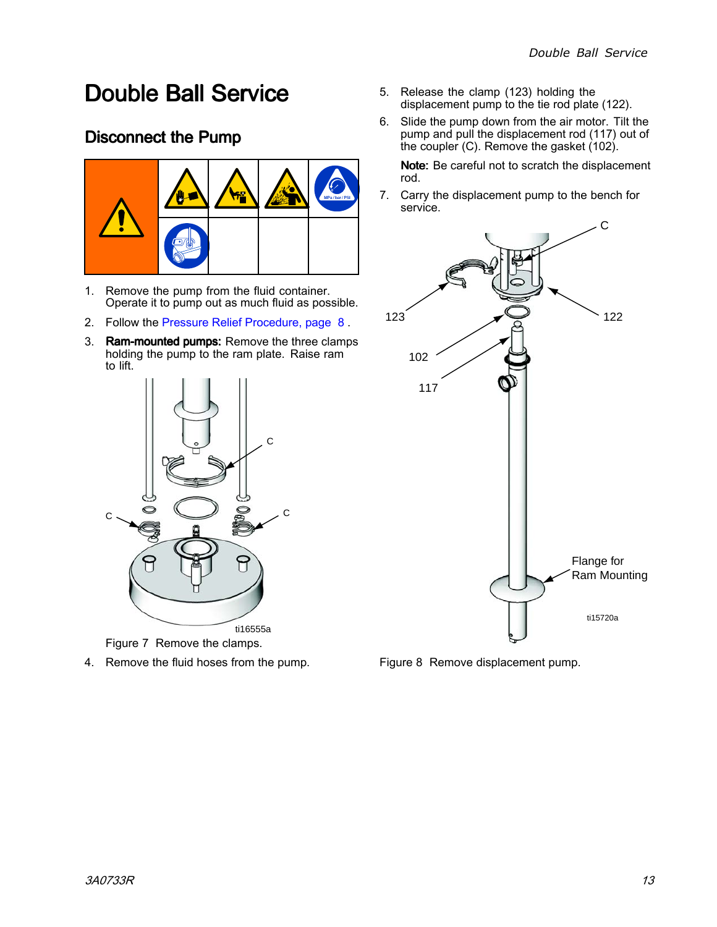# <span id="page-12-0"></span>**Double Ball Service**

# Disconnect the Pump



- 1. Remove the pump from the fluid container. Operate it to pump out as much fluid as possible.
- 2. Follow the Pressure Relief [Procedure,](#page-7-0) page [8](#page-7-0) .
- 3. Ram-mounted pumps: Remove the three clamps holding the pump to the ram plate. Raise ram to lift.



Figure <sup>7</sup> Remove the clamps.

4. Remove the fluid hoses from the pump.

- 5. Release the clamp (123) holding the displacement pump to the tie rod plate (122).
- 6. Slide the pump down from the air motor. Tilt the pump and pull the displacement rod (117) out of the coupler (C). Remove the gasket (102).

Note: Be careful not to scratch the displacement rod.

7. Carry the displacement pump to the bench for service.



Figure <sup>8</sup> Remove displacement pump.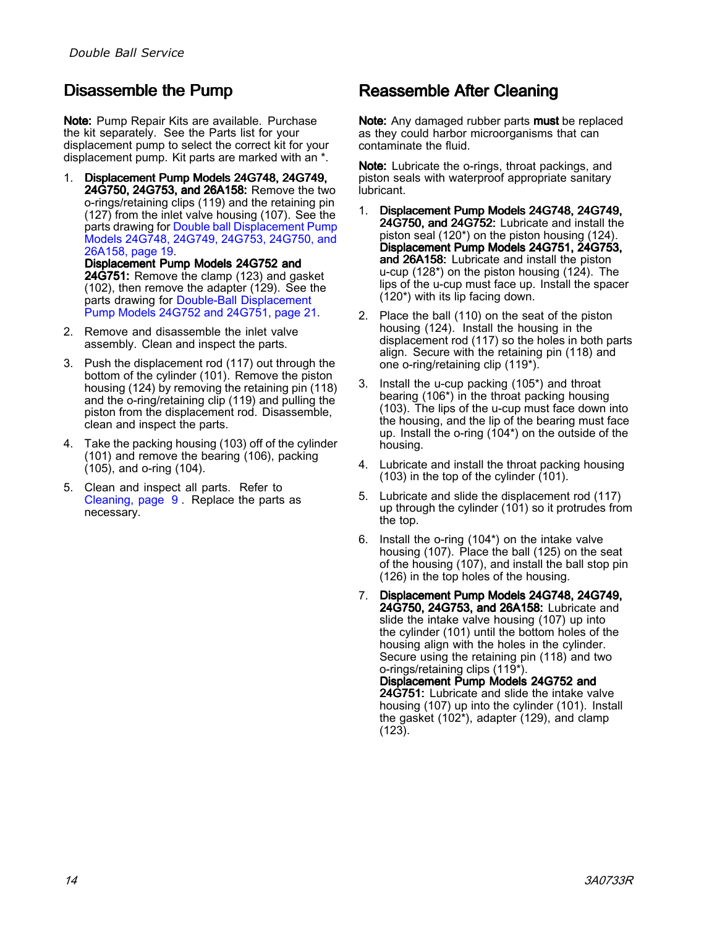# <span id="page-13-0"></span>Disassemble the Pump

Note: Pump Repair Kits are available. Purchase the kit separately. See the Parts list for your displacement pump to select the correct kit for your displacement pump. Kit parts are marked with an \*.

1. Displacement Pump Models 24G748, 24G749, 24G750, 24G753, and 26A158: Remove the two o-rings/retaining clips (119) and the retaining pin (127) from the inlet valve housing (107). See the parts drawing for Double ball [Displacement](#page-18-0) Pump Models 24G748, 24G749, 24G753, [24G750,](#page-18-0) and [26A158,](#page-18-0) page [19](#page-18-0).

Displacement Pump Models 24G752 and 24G751: Remove the clamp (123) and gasket (102), then remove the adapter (129). See the parts drawing for Double-Ball [Displacement](#page-20-0) Pump Models 24G752 and [24G751,](#page-20-0) page [21](#page-20-0).

- 2. Remove and disassemble the inlet valve assembly. Clean and inspect the parts.
- 3. Push the displacement rod (117) out through the bottom of the cylinder (101). Remove the piston housing (124) by removing the retaining pin (118) and the o-ring/retaining clip (119) and pulling the piston from the displacement rod. Disassemble, clean and inspect the parts.
- 4. Take the packing housing (103) off of the cylinder (101) and remove the bearing (106), packing (105), and o-ring (104).
- 5. Clean and inspect all parts. Refer to [Cleaning,](#page-8-0) page [9](#page-8-0) . Replace the parts as necessary.

### Reassemble After Cleaning

Note: Any damaged rubber parts must be replaced as they could harbor microorganisms that can contaminate the fluid.

Note: Lubricate the o-rings, throat packings, and piston seals with waterproof appropriate sanitary lubricant.

- 1. Displacement Pump Models 24G748, 24G749, 24G750, and 24G752: Lubricate and install the piston seal (120\*) on the piston housing (124). Displacement Pump Models 24G751, 24G753, and 26A158: Lubricate and install the piston u-cup (128\*) on the piston housing (124). The lips of the u-cup must face up. Install the spacer (120\*) with its lip facing down.
- 2. Place the ball (110) on the seat of the piston housing (124). Install the housing in the displacement rod (117) so the holes in both parts align. Secure with the retaining pin (118) and one o-ring/retaining clip (119\*).
- 3. Install the u-cup packing (105\*) and throat bearing (106\*) in the throat packing housing (103). The lips of the u-cup must face down into the housing, and the lip of the bearing must face up. Install the o-ring (104\*) on the outside of the housing.
- 4. Lubricate and install the throat packing housing  $(103)$  in the top of the cylinder  $(101)$ .
- 5. Lubricate and slide the displacement rod (117) up through the cylinder (101) so it protrudes from the top.
- 6. Install the o-ring (104\*) on the intake valve housing (107). Place the ball (125) on the seat of the housing (107), and install the ball stop pin (126) in the top holes of the housing.
- 7. Displacement Pump Models 24G748, 24G749, 24G750, 24G753, and 26A158: Lubricate and slide the intake valve housing (107) up into the cylinder (101) until the bottom holes of the housing align with the holes in the cylinder. Secure using the retaining pin (118) and two o-rings/retaining clips (119\*). Displacement Displacement Displacement Pump Models 24G752 and 24G751: Lubricate and slide the intake valve housing (107) up into the cylinder (101). Install the gasket (102\*), adapter (129), and clamp (123).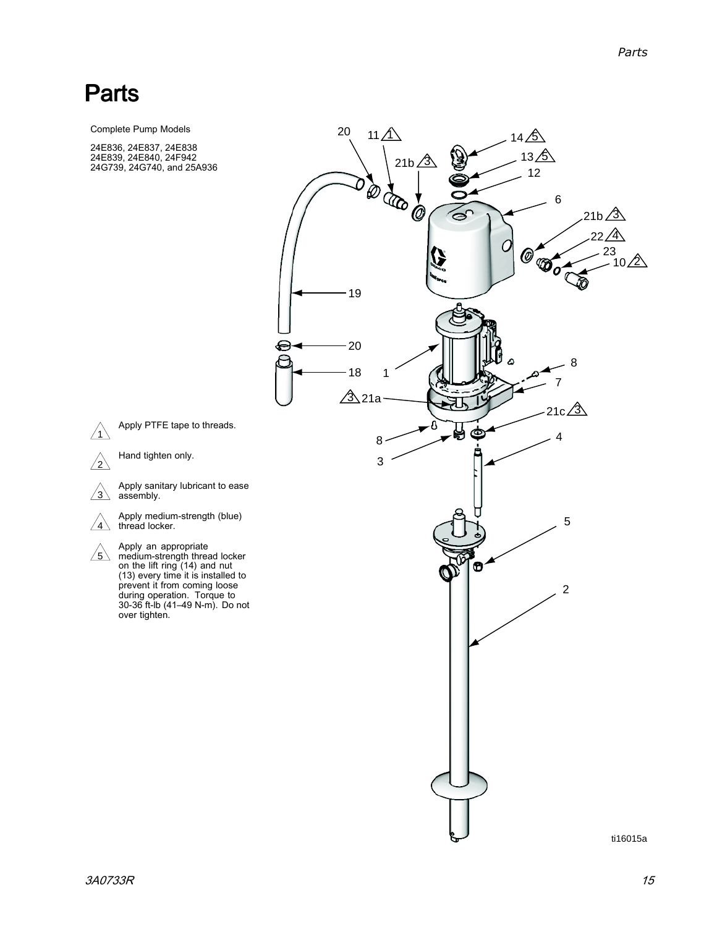# <span id="page-14-0"></span>Parts

Complete Pump Models

24E836, 24E837, 24E838<br>24E839, 24E840, 24E942 24E839, 24E840, 24F942<br>24C739, 24C740, and 25 24G739, 24G740, and 25A936



 $\sqrt{1}$ 

 $\sqrt{2}$ 

Hand tighten only.

 $\sqrt{3}$ Apply sanitary lubricant to ease assembly.

thread locker.

 $\land$  Apply an appropriate<br><u>5 \</u> medium-strength thre medium-strength thread locker<br>on the lift ring (14) and nut on the lift ring (14) and nut<br>(13) even: time it is installer (13) every time it is installed to prevent it from coming loose<br>during operation. Terque to during operation. Torque to<br>30-36 <del>f</del>t-lb (41–49 N-m). Do 30-36 ft-lb (41–49 N-m). Do not over tighten.

ti16015a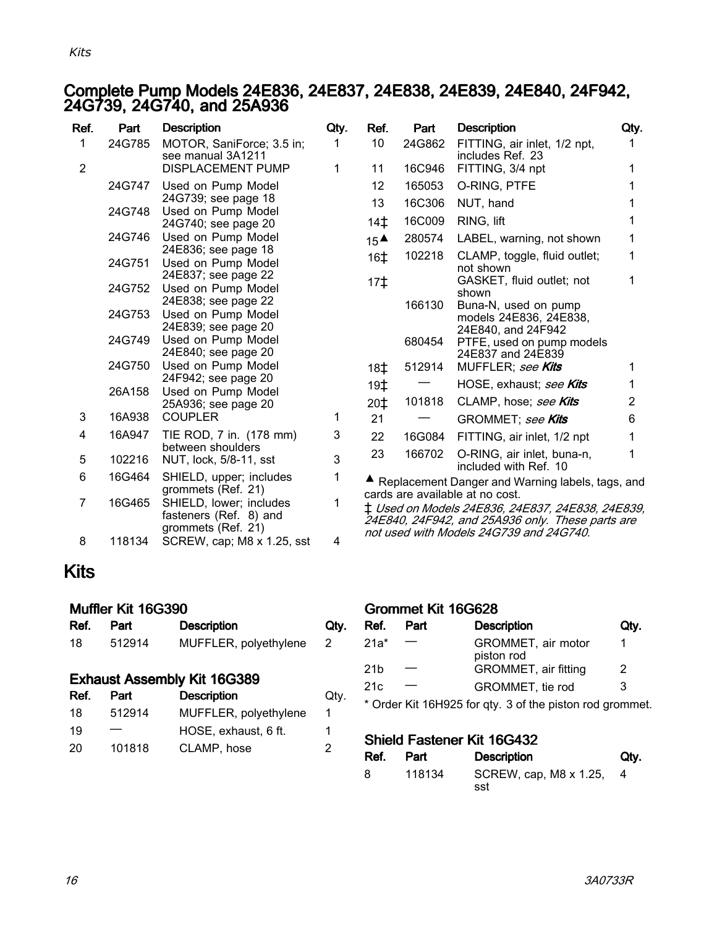#### <span id="page-15-0"></span>Complete Pump Models 24E836, 24E837, 24E838, 24E839, 24E840, 24F942, 24G739, 24G740, and 25A936

| Ref.           | Part   | <b>Description</b>                                                      | Qty. | Ref.                                                                                                                                    | Part   | <b>Description</b>                                                   | Qty.           |
|----------------|--------|-------------------------------------------------------------------------|------|-----------------------------------------------------------------------------------------------------------------------------------------|--------|----------------------------------------------------------------------|----------------|
| $\mathbf{1}$   | 24G785 | MOTOR, SaniForce; 3.5 in;<br>see manual 3A1211                          | 1    | 10 <sup>°</sup>                                                                                                                         | 24G862 | FITTING, air inlet, 1/2 npt,<br>includes Ref. 23                     | 1              |
| $\overline{2}$ |        | DISPLACEMENT PUMP                                                       | 1    | 11                                                                                                                                      | 16C946 | FITTING, 3/4 npt                                                     | 1              |
|                | 24G747 | Used on Pump Model                                                      |      | 12                                                                                                                                      | 165053 | O-RING, PTFE                                                         | 1              |
|                |        | 24G739; see page 18                                                     |      | 13                                                                                                                                      | 16C306 | NUT, hand                                                            | 1              |
|                | 24G748 | Used on Pump Model<br>24G740; see page 20                               |      | 14 <sup>†</sup>                                                                                                                         | 16C009 | RING, lift                                                           | 1              |
|                | 24G746 | Used on Pump Model                                                      |      | $15^{\text{A}}$                                                                                                                         | 280574 | LABEL, warning, not shown                                            | 1              |
|                | 24G751 | 24E836; see page 18<br>Used on Pump Model                               |      | 16 <sup>±</sup>                                                                                                                         | 102218 | CLAMP, toggle, fluid outlet;<br>not shown                            | 1              |
|                | 24G752 | 24E837; see page 22<br>Used on Pump Model                               |      | 17 <sup>†</sup>                                                                                                                         |        | GASKET, fluid outlet; not<br>shown                                   | 1              |
|                | 24G753 | 24E838; see page 22<br>Used on Pump Model<br>24E839; see page 20        |      |                                                                                                                                         | 166130 | Buna-N, used on pump<br>models 24E836, 24E838,<br>24E840, and 24F942 |                |
|                | 24G749 | Used on Pump Model<br>24E840; see page 20                               |      |                                                                                                                                         | 680454 | PTFE, used on pump models<br>24E837 and 24E839                       |                |
|                | 24G750 | Used on Pump Model                                                      |      | 18 <sup>±</sup>                                                                                                                         | 512914 | MUFFLER; see Kits                                                    | 1              |
|                | 26A158 | 24F942; see page 20<br>Used on Pump Model                               |      | 19 <sup>†</sup>                                                                                                                         |        | HOSE, exhaust; see Kits                                              | 1              |
|                |        | 25A936; see page 20                                                     |      | $20+$                                                                                                                                   | 101818 | CLAMP, hose; see Kits                                                | $\overline{2}$ |
| 3              | 16A938 | <b>COUPLER</b>                                                          | 1.   | 21                                                                                                                                      |        | GROMMET; see Kits                                                    | 6              |
| 4              | 16A947 | TIE ROD, 7 in. (178 mm)                                                 | 3    | 22                                                                                                                                      | 16G084 | FITTING, air inlet, 1/2 npt                                          | 1              |
| 5              | 102216 | between shoulders<br>NUT, lock, 5/8-11, sst                             | 3    | 23                                                                                                                                      | 166702 | O-RING, air inlet, buna-n,<br>included with Ref. 10                  | 1              |
| 6              | 16G464 | SHIELD, upper; includes<br>grommets (Ref. 21)                           | 1    |                                                                                                                                         |        | ▲ Replacement Danger and Warning labels, tags, and                   |                |
| $\overline{7}$ | 16G465 | SHIELD, lower; includes<br>fasteners (Ref. 8) and<br>grommets (Ref. 21) |      | cards are available at no cost.<br>‡ Used on Models 24E836, 24E837, 24E838, 24E839,<br>24E840, 24F942, and 25A936 only. These parts are |        |                                                                      |                |
| 8              | 118134 | SCREW, cap; M8 x 1.25, sst                                              | 4    |                                                                                                                                         |        | not used with Models 24G739 and 24G740.                              |                |

# Kits

#### Muffler Kit 16G390

| Ref. | Part   | <b>Description</b>    | Qty. |
|------|--------|-----------------------|------|
| 18   | 512914 | MUFFLER, polyethylene |      |

#### Exhaust Assembly Kit 16G389

| Ref. | Part   | <b>Description</b>    | Qty. |
|------|--------|-----------------------|------|
| 18   | 512914 | MUFFLER, polyethylene | 1    |
| 19   |        | HOSE, exhaust, 6 ft.  | 1    |
| 20   | 101818 | CLAMP, hose           | 2    |
|      |        |                       |      |

#### Grommet Kit 16G628

| Ref.            | Part | <b>Description</b>                                       | Qty. |
|-----------------|------|----------------------------------------------------------|------|
| $21a*$          |      | GROMMET, air motor<br>piston rod                         | 1    |
| 21 <sub>b</sub> |      | GROMMET, air fitting                                     | 2    |
| 21c             |      | GROMMET, tie rod                                         | 3    |
|                 |      | * Order Kit 16H925 for qty. 3 of the piston rod grommet. |      |

#### Shield Fastener Kit 16G432

| Ref. | Part   | <b>Description</b>            | Qtv. |
|------|--------|-------------------------------|------|
| 8    | 118134 | SCREW, cap, M8 x 1.25,<br>sst |      |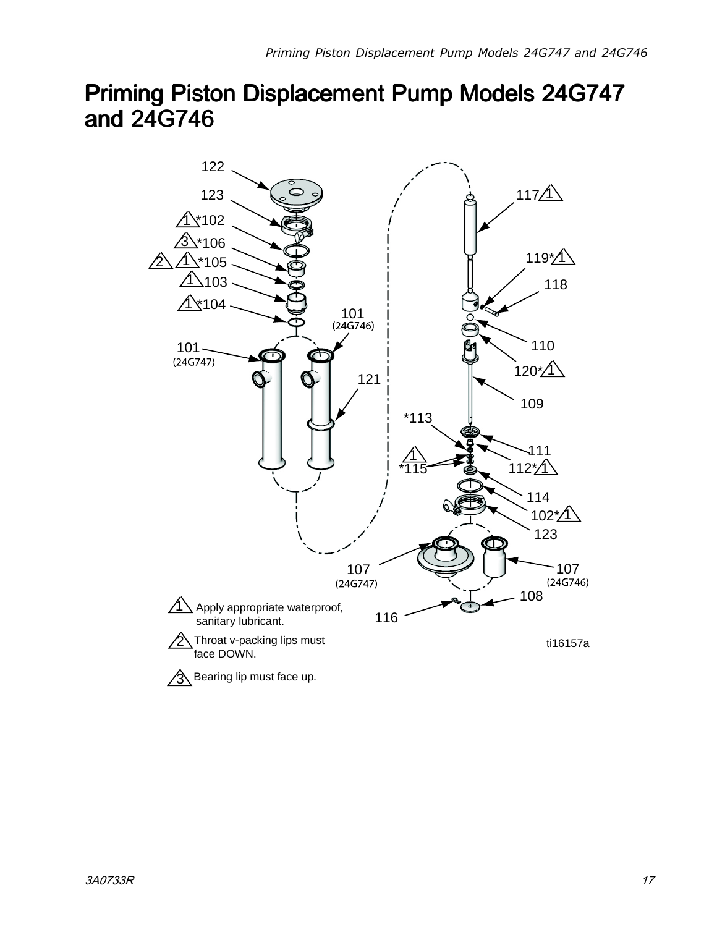# <span id="page-16-0"></span>Priming Piston Displacement Displacement Displacement Pump Models 24G747 and 24G746

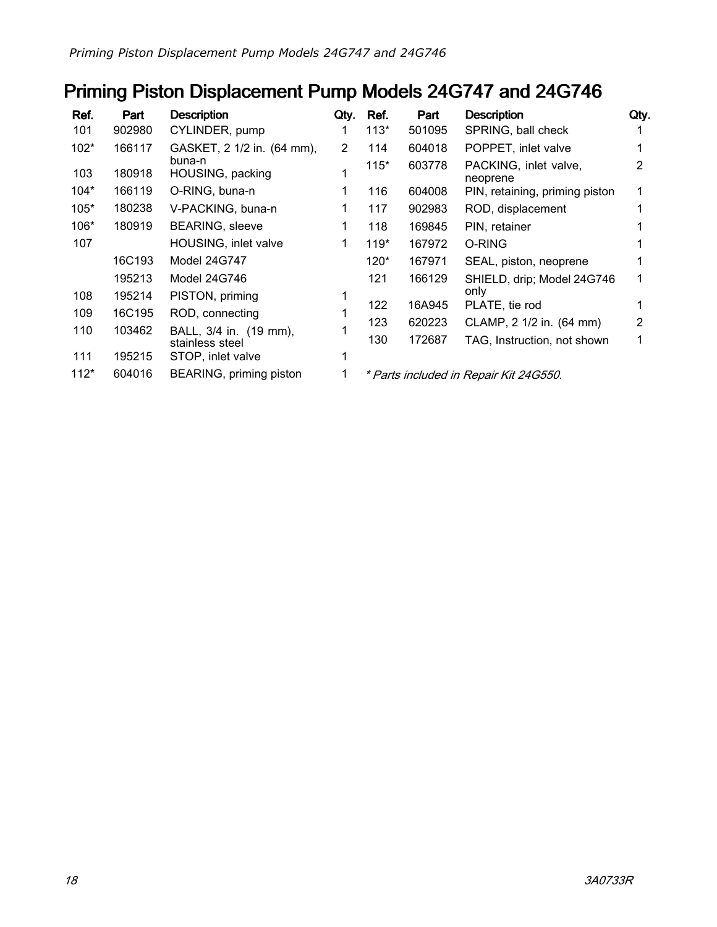# Priming Piston Displacement Pump Models 24G747 and 24G746

| Ref.   | Part   | <b>Description</b>         | Qty.          | Ref.   | Part   | <b>Description</b>                     | Qty. |
|--------|--------|----------------------------|---------------|--------|--------|----------------------------------------|------|
| 101    | 902980 | CYLINDER, pump             |               | $113*$ | 501095 | SPRING, ball check                     |      |
| $102*$ | 166117 | GASKET, 2 1/2 in. (64 mm), | $\mathcal{P}$ | 114    | 604018 | POPPET, inlet valve                    |      |
| 103    | 180918 | buna-n<br>HOUSING, packing |               | $115*$ | 603778 | PACKING, inlet valve,<br>neoprene      | 2    |
| $104*$ | 166119 | O-RING, buna-n             | 1             | 116    | 604008 | PIN, retaining, priming piston         |      |
| $105*$ | 180238 | V-PACKING, buna-n          |               | 117    | 902983 | ROD, displacement                      |      |
| $106*$ | 180919 | <b>BEARING, sleeve</b>     |               | 118    | 169845 | PIN, retainer                          |      |
| 107    |        | HOUSING, inlet valve       | 1             | $119*$ | 167972 | O-RING                                 |      |
|        | 16C193 | Model 24G747               |               | $120*$ | 167971 | SEAL, piston, neoprene                 |      |
|        | 195213 | Model 24G746               |               | 121    | 166129 | SHIELD, drip; Model 24G746             |      |
| 108    | 195214 | PISTON, priming            |               |        |        | only                                   |      |
| 109    | 16C195 | ROD, connecting            |               | 122    | 16A945 | PLATE, tie rod                         |      |
| 110    | 103462 | BALL, 3/4 in. (19 mm),     |               | 123    | 620223 | CLAMP, 2 1/2 in. (64 mm)               | 2    |
|        |        | stainless steel            |               | 130    | 172687 | TAG, Instruction, not shown            |      |
| 111    | 195215 | STOP, inlet valve          |               |        |        |                                        |      |
| $112*$ | 604016 | BEARING, priming piston    |               |        |        | * Parts included in Repair Kit 24G550. |      |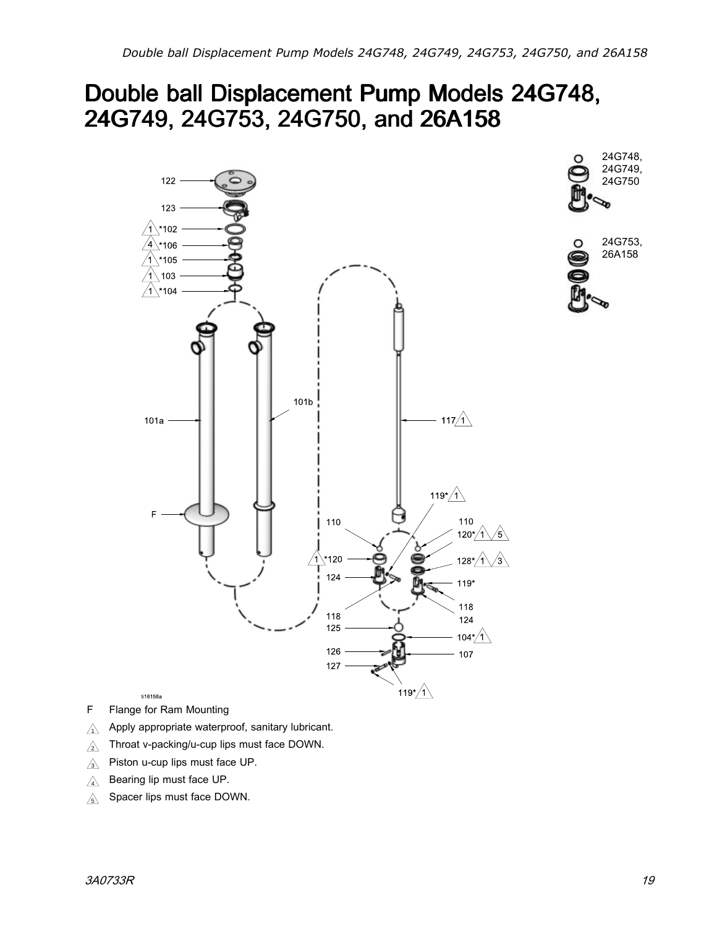# <span id="page-18-0"></span>Double ball Displacement Pump Models 24G748, 24G749, 24G749, 24G753, 24G753, 24G750, 24G750, and 26A158



24G753,  $\circ$ 

24G748, 24G749, 24G750

O

26A158

- <sup>F</sup> Flange for Ram Mounting
- $\triangle^-$ Apply appropriate waterproof, sanitary lubricant.
- $\triangle$ Throat v-packing/u-cup lips must face DOWN.
- $\triangle$ Piston u-cup lips must face UP.
- $\mathcal{A}$ Bearing lip must face UP.
- $\mathbb{A}$ Spacer lips must face DOWN.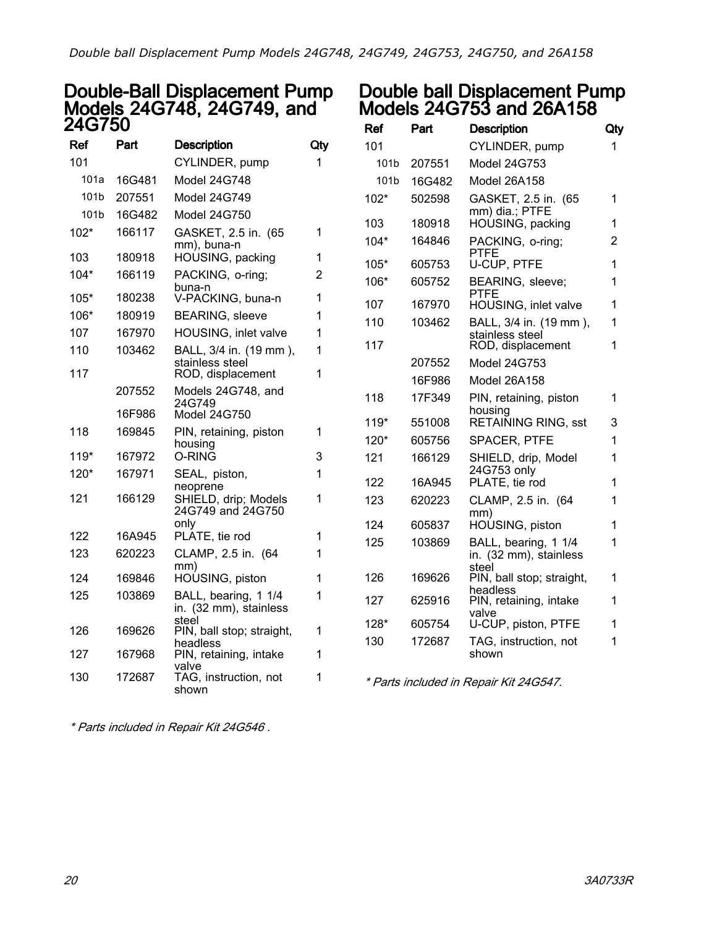### Double-Ball Displacement Pump Models 24G748, 24G749, and 24G750

| Ref    | Part   | <b>Description</b>                             | Qty |
|--------|--------|------------------------------------------------|-----|
| 101    |        | CYLINDER, pump                                 | 1   |
| 101a   | 16G481 | Model 24G748                                   |     |
| 101b   | 207551 | Model 24G749                                   |     |
| 101b   | 16G482 | Model 24G750                                   |     |
| $102*$ | 166117 | GASKET, 2.5 in. (65<br>mm), buna-n             | 1   |
| 103    | 180918 | HOUSING, packing                               | 1   |
| $104*$ | 166119 | PACKING, o-ring;                               | 2   |
| 105*   | 180238 | buna-n<br>V-PACKING, buna-n                    | 1   |
| 106*   | 180919 | <b>BEARING, sleeve</b>                         | 1   |
| 107    | 167970 | HOUSING, inlet valve                           | 1   |
| 110    | 103462 | BALL, 3/4 in. (19 mm),<br>stainless steel      | 1   |
| 117    |        | ROD, displacement                              | 1   |
|        | 207552 | Models 24G748, and<br>24G749                   |     |
|        | 16F986 | Model 24G750                                   |     |
| 118    | 169845 | PIN, retaining, piston<br>housing              | 1   |
| $119*$ | 167972 | 0-RING                                         | 3   |
| 120*   | 167971 | SEAL, piston,<br>neoprene                      | 1   |
| 121    | 166129 | SHIELD, drip; Models<br>24G749 and 24G750      | 1   |
| 122    | 16A945 | only<br>PLATE, tie rod                         | 1   |
| 123    | 620223 | CLAMP, 2.5 in. (64<br>mm)                      | 1   |
| 124    | 169846 | HOUSING, piston                                | 1   |
| 125    | 103869 | BALL, bearing, 1 1/4<br>in. (32 mm), stainless | 1   |
| 126    | 169626 | steel<br>PIN, ball stop; straight,<br>headless | 1   |
| 127    | 167968 | PIN, retaining, intake                         | 1   |
| 130    | 172687 | valve<br>TAG, instruction, not<br>shown        | 1   |

### Double ball Displacement Pump Models 24G753 and 26A158

| Ref    | Part   | <b>Description</b>                                      | Qty |
|--------|--------|---------------------------------------------------------|-----|
| 101    |        | CYLINDER, pump                                          | 1   |
| 101b   | 207551 | <b>Model 24G753</b>                                     |     |
| 101b   | 16G482 | Model 26A158                                            |     |
| 102*   | 502598 | GASKET, 2.5 in. (65<br>mm) dia.; PTFE                   | 1   |
| 103    | 180918 | HOUSING, packing                                        | 1   |
| $104*$ | 164846 | PACKING, o-ring;<br><b>PTFE</b>                         | 2   |
| $105*$ | 605753 | U-CUP, PTFE                                             | 1   |
| 106*   | 605752 | BEARING, sleeve;<br>PTFE                                | 1   |
| 107    | 167970 | HOUSING, inlet valve                                    | 1   |
| 110    | 103462 | BALL, 3/4 in. (19 mm),<br>stainless steel               | 1   |
| 117    |        | ROD, displacement                                       | 1   |
|        | 207552 | Model 24G753                                            |     |
|        | 16F986 | Model 26A158                                            |     |
| 118    | 17F349 | PIN, retaining, piston<br>housing                       | 1   |
| $119*$ | 551008 | <b>RETAINING RING, sst</b>                              | 3   |
| $120*$ | 605756 | <b>SPACER, PTFE</b>                                     | 1   |
| 121    | 166129 | SHIELD, drip, Model<br>24G753 only                      | 1   |
| 122    | 16A945 | PLATE, tie rod                                          | 1   |
| 123    | 620223 | CLAMP, 2.5 in. (64                                      | 1   |
| 124    | 605837 | mm)<br>HOUSING, piston                                  | 1   |
| 125    | 103869 | BALL, bearing, 1 1/4<br>in. (32 mm), stainless<br>steel | 1   |
| 126    | 169626 | PIN, ball stop; straight,                               | 1   |
| 127    | 625916 | headless<br>PIN, retaining, intake                      | 1   |
| 128*   | 605754 | valve<br>U-CUP, piston, PTFE                            | 1   |
| 130    | 172687 | TAG, instruction, not<br>shown                          | 1   |

\* Parts included in Repair Kit 24G547.

\* Parts included in Repair Kit 24G546 .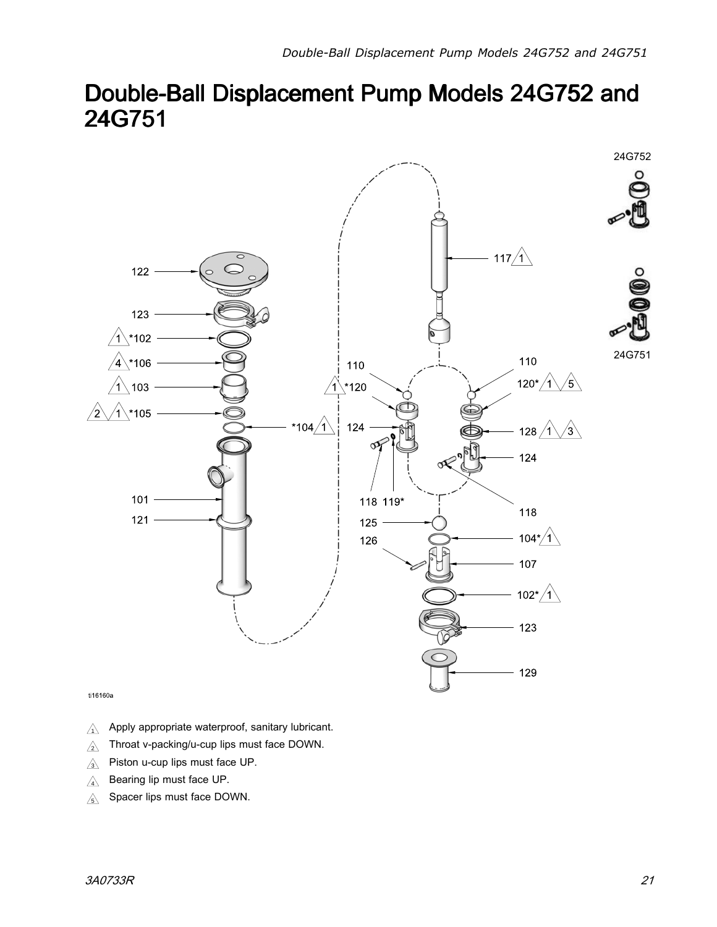# <span id="page-20-0"></span>Double-Ball Displacement Pump Models 24G752 and 24G751



ti16160a

- $\triangle$ Apply appropriate waterproof, sanitary lubricant.
- $\triangle$ Throat v-packing/u-cup lips must face DOWN.
- $\triangle$ Piston u-cup lips must face UP.
- $\triangle$ Bearing lip must face UP.
- $\triangle$ Spacer lips must face DOWN.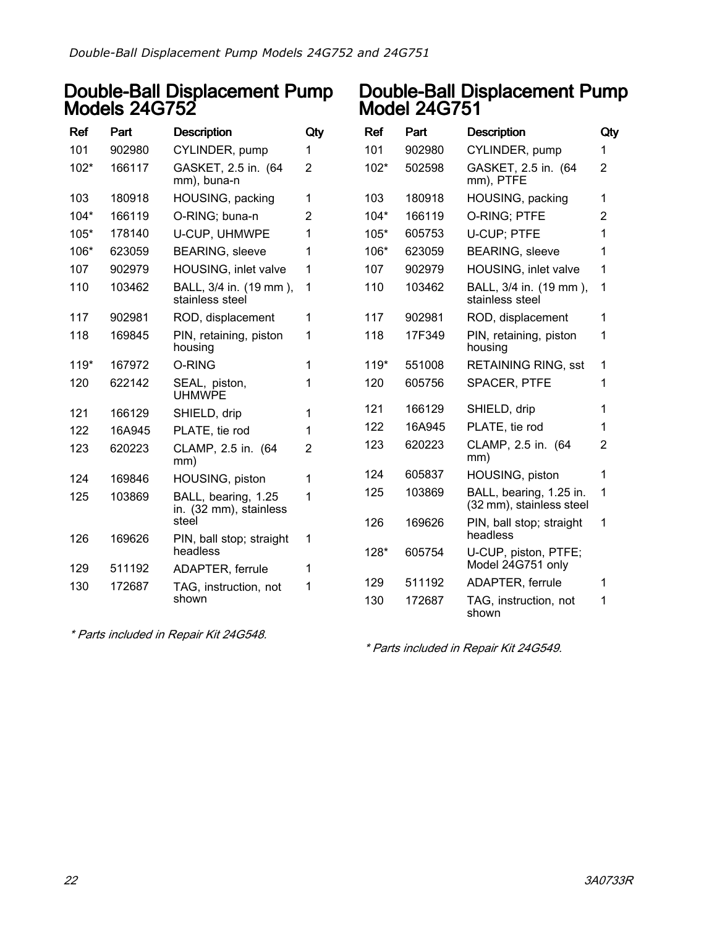### Double-Ball Displacement Pump Models 24G752

| Ref    | Part   | <b>Description</b>                                     | Qty |
|--------|--------|--------------------------------------------------------|-----|
| 101    | 902980 | CYLINDER, pump                                         | 1   |
| $102*$ | 166117 | GASKET, 2.5 in. (64<br>mm), buna-n                     | 2   |
| 103    | 180918 | HOUSING, packing                                       | 1   |
| $104*$ | 166119 | O-RING; buna-n                                         | 2   |
| $105*$ | 178140 | U-CUP, UHMWPE                                          | 1   |
| 106*   | 623059 | <b>BEARING, sleeve</b>                                 | 1   |
| 107    | 902979 | HOUSING, inlet valve                                   | 1   |
| 110    | 103462 | BALL, 3/4 in. (19 mm),<br>stainless steel              | 1   |
| 117    | 902981 | ROD, displacement                                      | 1   |
| 118    | 169845 | PIN, retaining, piston<br>housing                      | 1   |
| $119*$ | 167972 | O-RING                                                 | 1   |
| 120    | 622142 | SEAL, piston,<br><b>UHMWPE</b>                         | 1   |
| 121    | 166129 | SHIELD, drip                                           | 1   |
| 122    | 16A945 | PLATE, tie rod                                         | 1   |
| 123    | 620223 | CLAMP, 2.5 in. (64<br>mm)                              | 2   |
| 124    | 169846 | HOUSING, piston                                        | 1   |
| 125    | 103869 | BALL, bearing, 1.25<br>in. (32 mm), stainless<br>steel | 1   |
| 126    | 169626 | PIN, ball stop; straight<br>headless                   | 1   |
| 129    | 511192 | ADAPTER, ferrule                                       | 1   |
| 130    | 172687 | TAG, instruction, not<br>shown                         | 1   |

## Double-Ball Displacement Pump Model 24G751

| Ref    | Part   | <b>Description</b>                                  | Qty            |
|--------|--------|-----------------------------------------------------|----------------|
| 101    | 902980 | CYLINDER, pump                                      | 1              |
| $102*$ | 502598 | GASKET, 2.5 in. (64<br>mm), PTFE                    | 2              |
| 103    | 180918 | HOUSING, packing                                    | 1              |
| $104*$ | 166119 | O-RING; PTFE                                        | $\overline{2}$ |
| 105*   | 605753 | <b>U-CUP: PTFE</b>                                  | 1              |
| 106*   | 623059 | <b>BEARING, sleeve</b>                              | 1              |
| 107    | 902979 | HOUSING, inlet valve                                | 1              |
| 110    | 103462 | BALL, 3/4 in. (19 mm),<br>stainless steel           | 1              |
| 117    | 902981 | ROD, displacement                                   | 1              |
| 118    | 17F349 | PIN, retaining, piston<br>housing                   | 1              |
| 119*   | 551008 | <b>RETAINING RING, sst</b>                          | 1              |
| 120    | 605756 | <b>SPACER, PTFE</b>                                 | 1              |
| 121    | 166129 | SHIELD, drip                                        | 1              |
| 122    | 16A945 | PLATE, tie rod                                      | 1              |
| 123    | 620223 | CLAMP, 2.5 in. (64<br>mm)                           | 2              |
| 124    | 605837 | HOUSING, piston                                     | 1              |
| 125    | 103869 | BALL, bearing, 1.25 in.<br>(32 mm), stainless steel | 1              |
| 126    | 169626 | PIN, ball stop; straight<br>headless                | 1              |
| 128*   | 605754 | U-CUP, piston, PTFE;<br>Model 24G751 only           |                |
| 129    | 511192 | <b>ADAPTER, ferrule</b>                             | 1              |
| 130    | 172687 | TAG, instruction, not<br>shown                      | 1              |

\* Parts included in Repair Kit 24G548.

\* Parts included in Repair Kit 24G549.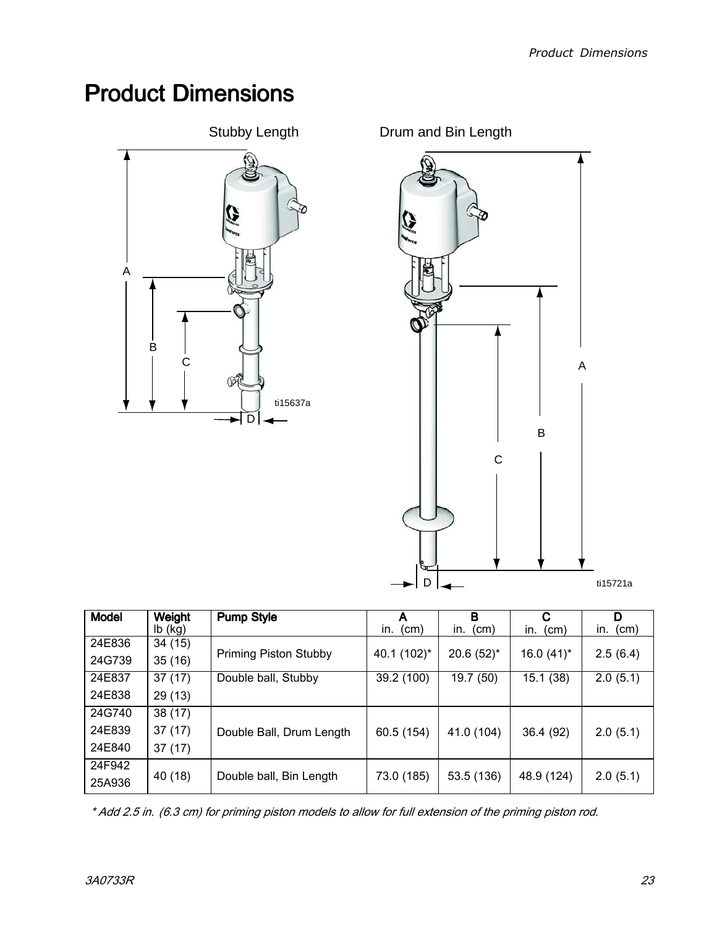# <span id="page-22-0"></span>**Product Dimensions**



Drum and Bin Length



| <b>Model</b> | Weight    | <b>Pump Style</b>            | Α           | в            | C                   | D           |
|--------------|-----------|------------------------------|-------------|--------------|---------------------|-------------|
|              | $lb$ (kg) |                              | (cm)<br>in. | (cm)<br>in.  | $\pmb{(cm)}$<br>in. | (cm)<br>in. |
| 24E836       | 34(15)    |                              |             |              |                     |             |
| 24G739       | 35(16)    | <b>Priming Piston Stubby</b> | 40.1 (102)* | $20.6(52)$ * | $16.0(41)$ *        | 2.5(6.4)    |
| 24E837       | 37(17)    | Double ball, Stubby          | 39.2 (100)  | 19.7 (50)    | 15.1 (38)           | 2.0(5.1)    |
| 24E838       | 29(13)    |                              |             |              |                     |             |
| 24G740       | 38(17)    |                              |             |              |                     |             |
| 24E839       | 37(17)    | Double Ball, Drum Length     | 60.5 (154)  | 41.0 (104)   | 36.4 (92)           | 2.0(5.1)    |
| 24E840       | 37(17)    |                              |             |              |                     |             |
| 24F942       |           |                              |             |              |                     |             |
| 25A936       | 40 (18)   | Double ball, Bin Length      | 73.0 (185)  | 53.5 (136)   | 48.9 (124)          | 2.0(5.1)    |

\* Add 2.5 in. (6.3 cm) for priming piston models to allow for full extension of the priming piston rod.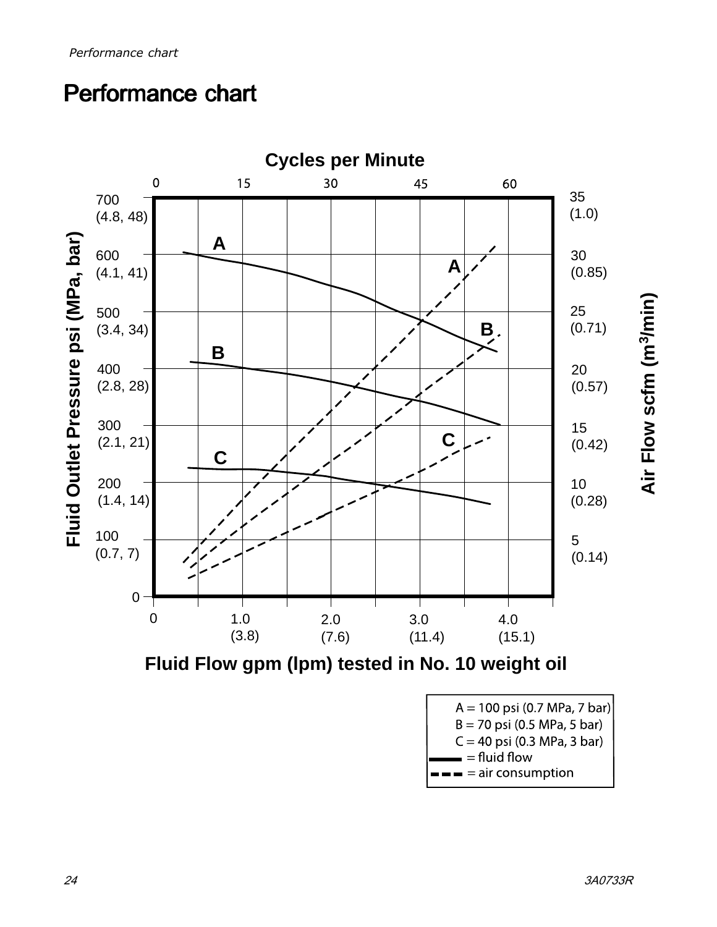# <span id="page-23-0"></span>Performance chart



**Fluid Flow gpm (lpm) tested in No. 10 weight oil**

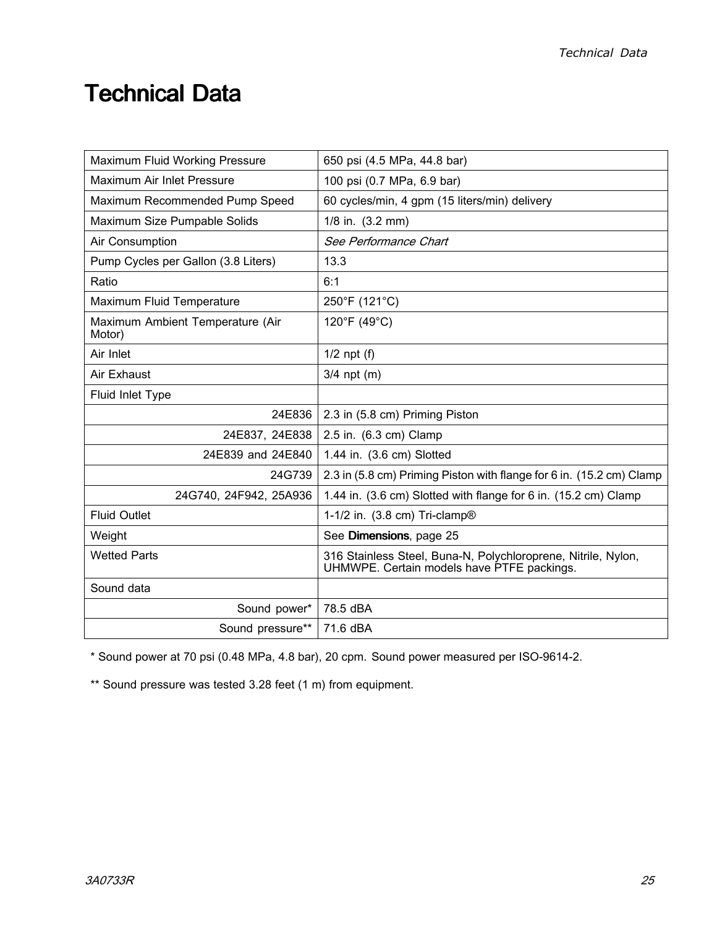# <span id="page-24-0"></span>**Technical Data**

| Maximum Fluid Working Pressure             | 650 psi (4.5 MPa, 44.8 bar)                                                                                 |  |  |
|--------------------------------------------|-------------------------------------------------------------------------------------------------------------|--|--|
| Maximum Air Inlet Pressure                 | 100 psi (0.7 MPa, 6.9 bar)                                                                                  |  |  |
| Maximum Recommended Pump Speed             | 60 cycles/min, 4 gpm (15 liters/min) delivery                                                               |  |  |
| Maximum Size Pumpable Solids               | 1/8 in. (3.2 mm)                                                                                            |  |  |
| Air Consumption                            | See Performance Chart                                                                                       |  |  |
| Pump Cycles per Gallon (3.8 Liters)        | 13.3                                                                                                        |  |  |
| Ratio                                      | 6:1                                                                                                         |  |  |
| Maximum Fluid Temperature                  | 250°F (121°C)                                                                                               |  |  |
| Maximum Ambient Temperature (Air<br>Motor) | 120°F (49°C)                                                                                                |  |  |
| Air Inlet                                  | $1/2$ npt (f)                                                                                               |  |  |
| Air Exhaust                                | $3/4$ npt (m)                                                                                               |  |  |
| Fluid Inlet Type                           |                                                                                                             |  |  |
| 24E836                                     | 2.3 in (5.8 cm) Priming Piston                                                                              |  |  |
| 24E837, 24E838                             | 2.5 in. (6.3 cm) Clamp                                                                                      |  |  |
| 24E839 and 24E840                          | 1.44 in. (3.6 cm) Slotted                                                                                   |  |  |
| 24G739                                     | 2.3 in (5.8 cm) Priming Piston with flange for 6 in. (15.2 cm) Clamp                                        |  |  |
| 24G740, 24F942, 25A936                     | 1.44 in. (3.6 cm) Slotted with flange for 6 in. (15.2 cm) Clamp                                             |  |  |
| <b>Fluid Outlet</b>                        | 1-1/2 in. (3.8 cm) Tri-clamp®                                                                               |  |  |
| Weight                                     | See Dimensions, page 25                                                                                     |  |  |
| <b>Wetted Parts</b>                        | 316 Stainless Steel, Buna-N, Polychloroprene, Nitrile, Nylon,<br>UHMWPE. Certain models have PTFE packings. |  |  |
| Sound data                                 |                                                                                                             |  |  |
| Sound power*                               | 78.5 dBA                                                                                                    |  |  |
| Sound pressure**                           | 71.6 dBA                                                                                                    |  |  |

\* Sound power at <sup>70</sup> psi (0.48 MPa, 4.8 bar), <sup>20</sup> cpm. Sound power measured per ISO-9614-2.

\*\* Sound pressure was tested 3.28 feet (1 m) from equipment.